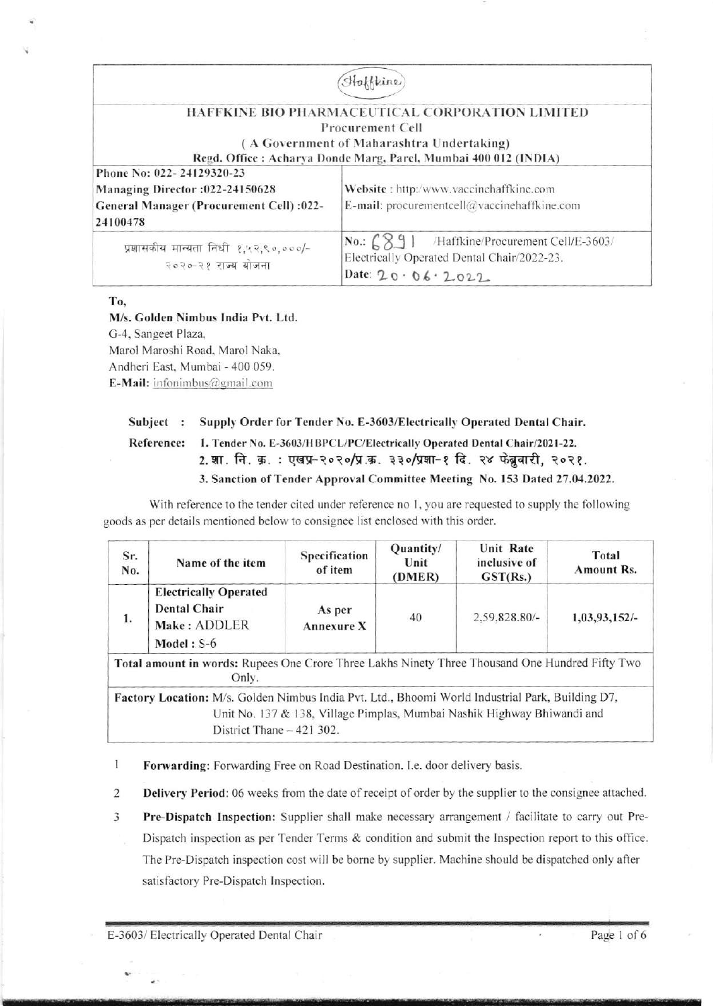|                                                                                                                      | Haffkine                                                                                                                                                                                   |
|----------------------------------------------------------------------------------------------------------------------|--------------------------------------------------------------------------------------------------------------------------------------------------------------------------------------------|
|                                                                                                                      | HAFFKINE BIO PHARMACEUTICAL CORPORATION LIMITED<br><b>Procurement Cell</b><br>(A Government of Maharashtra Undertaking)<br>Regd. Office: Acharya Donde Marg, Parel, Mumbai 400 012 (INDIA) |
| Phone No: 022-24129320-23<br>Managing Director: 022-24150628<br>General Manager (Procurement Cell) :022-<br>24100478 | Website: http:/www.vaccinehaffkine.com<br>E-mail: procurementcell $@$ vaccine haffkine.com                                                                                                 |
| प्रशासकीय मान्यता निधी १,५२,९०,०००/-<br>२०२०-२१ राज्य योजना                                                          | $No.:$ $6891$<br>/Haffkine/Procurement Cell/E-3603/<br>Electrically Operated Dental Chair/2022-23.<br>Date: $20.06.2022$                                                                   |

To,

M/s. Golden Nimbus India Pvt. Ltd. G-4, Sangeet Plaza, Marol Maroshi Road, Marol Naka, Andheri East, Mumbai - 400 059. E-Mail: infonimbus@gmail.com

#### Supply Order for Tender No. E-3603/Electrically Operated Dental Chair. Subject :

#### **Reference:** 1. Tender No. E-3603/HBPCL/PC/Electrically Operated Dental Chair/2021-22. 2. शा. नि. क्र. : एखप्र-२०२०/प्र.क्र. ३३०/प्रशा-१ दि. २४ फेब्रुवारी, २०२१. 3. Sanction of Tender Approval Committee Meeting No. 153 Dated 27.04.2022.

With reference to the tender cited under reference no 1, you are requested to supply the following goods as per details mentioned below to consignee list enclosed with this order.

| Sr.<br>No. | Name of the item                                                                                                               | Specification<br>of item    | Quantity/<br>Unit<br>(DMER) | Unit Rate<br>inclusive of<br>GST(Rs.)                                   | Total<br><b>Amount Rs.</b> |
|------------|--------------------------------------------------------------------------------------------------------------------------------|-----------------------------|-----------------------------|-------------------------------------------------------------------------|----------------------------|
| 1.         | <b>Electrically Operated</b><br><b>Dental Chair</b><br>Make: ADDLER<br>Model: $S-6$                                            | As per<br><b>Annexure X</b> | 40                          | $2.59,828.80/$ -                                                        | 1,03,93,152/-              |
|            | Total amount in words: Rupees One Crore Three Lakhs Ninety Three Thousand One Hundred Fifty Two<br>Only.                       |                             |                             |                                                                         |                            |
|            | Factory Location: M/s. Golden Nimbus India Pvt. Ltd., Bhoomi World Industrial Park, Building D7,<br>District Thane $-421$ 302. |                             |                             | Unit No. 137 & 138, Village Pimplas, Mumbai Nashik Highway Bhiwandi and |                            |

- $\mathbf{I}$ Forwarding: Forwarding Free on Road Destination. I.e. door delivery basis.
- $\overline{2}$ Delivery Period: 06 weeks from the date of receipt of order by the supplier to the consignee attached.
- 3 Pre-Dispatch Inspection: Supplier shall make necessary arrangement / facilitate to carry out Pre-Dispatch inspection as per Tender Terms & condition and submit the Inspection report to this office. The Pre-Dispatch inspection cost will be borne by supplier. Machine should be dispatched only after satisfactory Pre-Dispatch Inspection.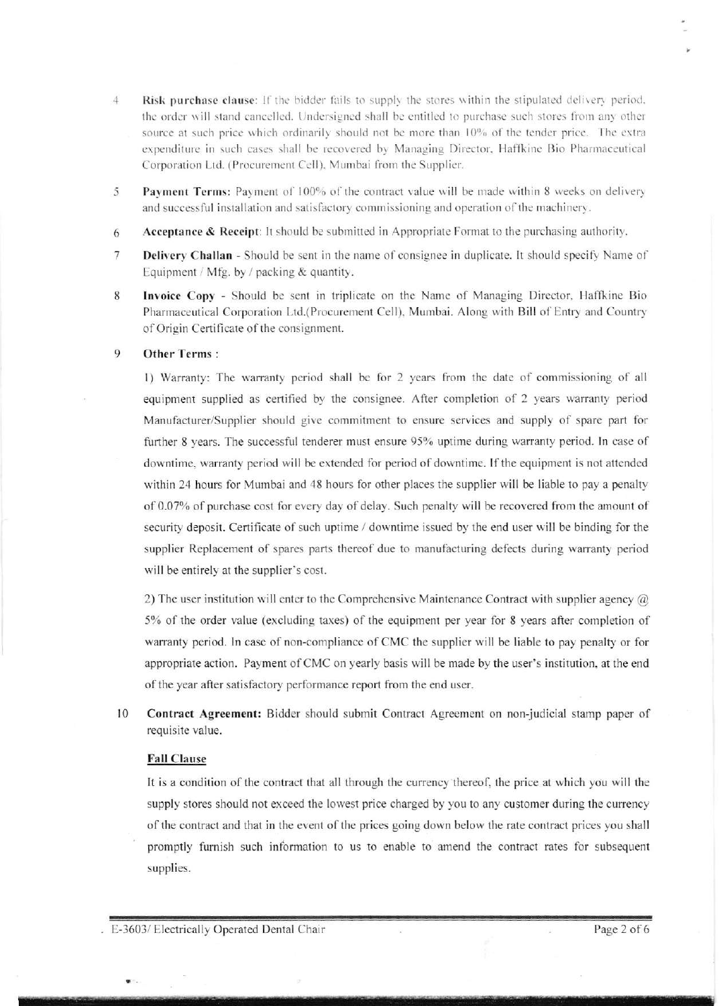- 4 Risk purchase clause: If the bidder fails to supply the stores within the stipulated delivery period. the order will stand cancelled. Undersigned shall be entitled to purchase such stores from any other source at such price which ordinarily should not be more than 10% of the tender price. The extra expenditure in such cases shall be recovered by Managing Director, Haffkine Bio Pharmaceutical Corporation Ltd. (Procurement Cell). Mumbai from the Supplier.
- Payment Terms: Payment of 100% of the contract value will be made within 8 weeks on delivery and successful installation and satisfactory commissioning and operation of the machinery. )
- Acceptance  $\&$  Receipt: It should be submitted in Appropriate Format to the purchasing authority. 6
- Delivery Challan Should be sent in the name of consignee in duplicate. It should specify Name of Equipment / Mfg. by / packing  $&$  quantity. 7
- Invoice Copy Should be sent in triplicate on the Name of Managing Director, Haffkine Bio Pharmaceutical Corporation Ltd.(Procurement Cell). Murnbai. Along with Bill of Entry and Country of Origin Certificate of the consignment. 8

#### Other Terms : 9

l) Warranty: The warranty period shall be for 2 years from the date of commissioning of all equipment supplied as certified by the consignee. After completion of 2 years warranty period Manufacturer/Supplier should give commitment to ensure services and supply of spare part for further 8 years. The successful tenderer must ensure 95% uptime during warranty period. In case of downtime, warranty period will be extended for period of downtime. If the equipment is not attended within 24 hours for Mumbai and 48 hours for other places the supplier will be liable to pay a penalty of 0.07% of purchase cost for every day of delay. Such penalty will be recovered from the amount of security deposit. Certificate of such uptime / downtime issued by the end user will be binding for the supplier Replacement of spares parts thereof due to manufacturing defects during warranty period will be entirely at the supplier's cost.

2) The user institution will enter to the Comprehensive Maintenance Contract with supplier agency  $@$ 5% of the order value (excluding taxes) of the equipment per year for 8 years after completion of warranty period. In case of non-compliance of CMC the supplier will be liable to pay penalty or for appropriate action. Payment ofCMC on yearly basis will be made by the user's institution, at the end of the year after satisfactory performance report from the end user.

Contract Agreement: Bidder should submil Contract Agreement on non-judicial stamp paper of requisite value. l0

### Fall Clause

It is a condition of the contract that all through the currency thereof, the price at which you will the supply stores should not exceed the lowest price charged by you to any customer during the currency of the contract and that in the event of the prices going down below the rate contract prices you shall promptly fumish such information to us to enable to amend the contract rates for subsequent supplies.

ry Indian State and Control of Control of Control of Control of Control of Control of Control of Control of Co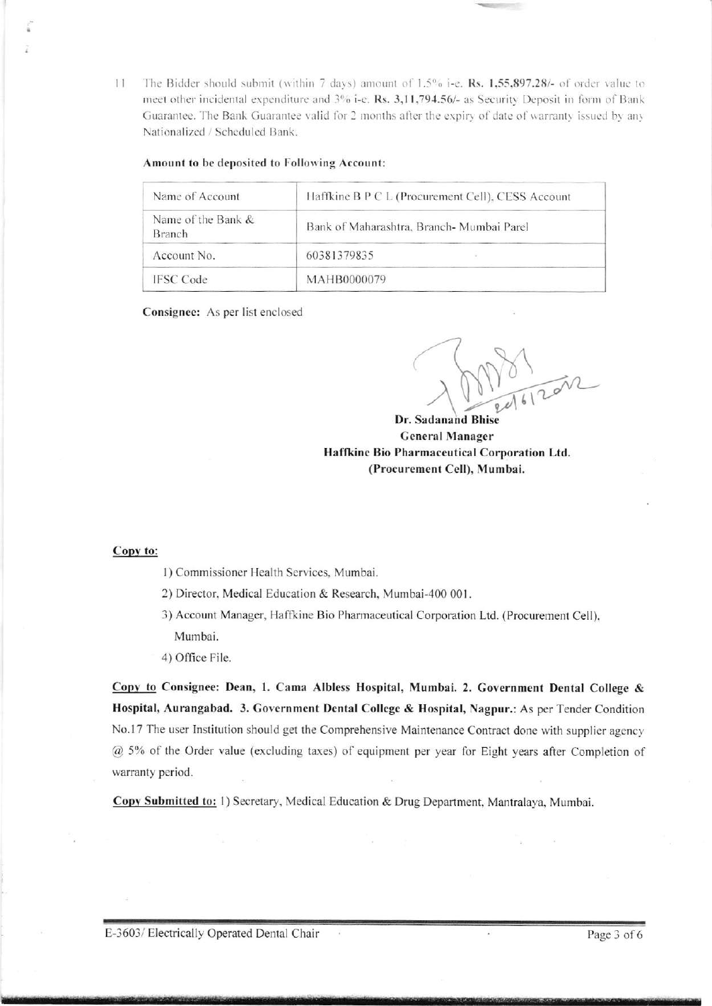The Bidder should submit (within 7 days) amount of 1.5% i-e, Rs. 1,55,897.28/- of order value to  $11$ meet other incidental expenditure and 3% i-e. Rs. 3,11,794.56/- as Security Deposit in form of Bank Guarantee. The Bank Guarantee valid for 2 months after the expiry of date of warranty issued by any Nationalized / Scheduled Bank.

#### Amount to be deposited to Following Account:

| Name of Account                     | Haffkine B P C L (Procurement Cell), CESS Account |  |  |
|-------------------------------------|---------------------------------------------------|--|--|
| Name of the Bank &<br><b>Branch</b> | Bank of Maharashtra, Branch- Mumbai Parel         |  |  |
| Account No.                         | 60381379835                                       |  |  |
| <b>IFSC</b> Code                    | MAHB0000079                                       |  |  |

Consignee: As per list enclosed

 $\frac{1}{10}$ 

Dr. Sadanand Bhise **General Manager** Haffkine Bio Pharmaceutical Corporation Ltd. (Procurement Cell), Mumbai.

#### Copy to:

1) Commissioner Health Services, Mumbai.

2) Director, Medical Education & Research, Mumbai-400 001.

- 3) Account Manager, Haffkine Bio Pharmaceutical Corporation Ltd. (Procurement Cell), Mumbai.
- 4) Office File.

Copy to Consignee: Dean, 1. Cama Albless Hospital, Mumbai. 2. Government Dental College & Hospital, Aurangabad. 3. Government Dental College & Hospital, Nagpur.: As per Tender Condition No.17 The user Institution should get the Comprehensive Maintenance Contract done with supplier agency @ 5% of the Order value (excluding taxes) of equipment per year for Eight years after Completion of warranty period.

Copy Submitted to: 1) Secretary, Medical Education & Drug Department, Mantralaya, Mumbai.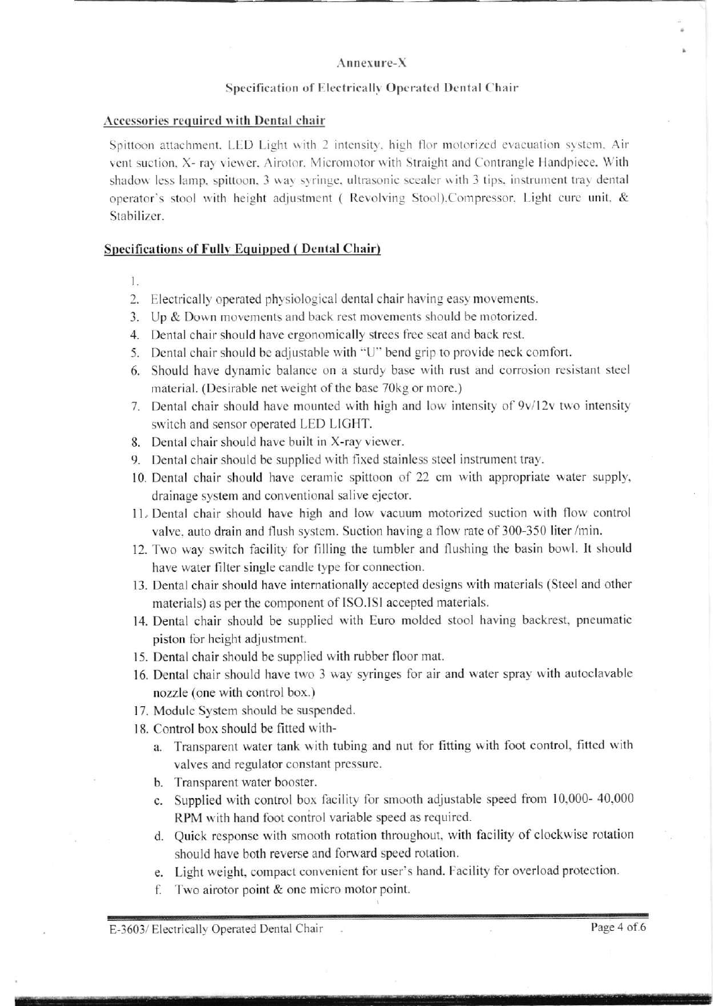## Annexure-X

### Specification of Electrically Operated Dental Chair

#### Accessories required with Dental chair

Spittoon attachment, LED Light with 2 intensity, high flor motorized evacuation system, Air vent suction, X- ray viewer, Airotor, Micromotor with Straight and Contrangle Handpiece, With shadow less lamp, spittoon, 3 way syringe, ultrasonic scealer with 3 tips, instrument tray dental operator's stool with height adjustment (Revolving Stool), Compressor, Light cure unit, & Stabilizer.

#### **Specifications of Fully Equipped (Dental Chair)**

1.

- 2. Electrically operated physiological dental chair having easy movements.
- 3. Up & Down movements and back rest movements should be motorized.
- 4. Dental chair should have ergonomically strees free seat and back rest.
- 5. Dental chair should be adjustable with "U" bend grip to provide neck comfort.
- 6. Should have dynamic balance on a sturdy base with rust and corrosion resistant steel material. (Desirable net weight of the base 70kg or more.)
- 7. Dental chair should have mounted with high and low intensity of 9v/12v two intensity switch and sensor operated LED LIGHT.
- 8. Dental chair should have built in X-ray viewer.
- 9. Dental chair should be supplied with fixed stainless steel instrument tray.
- 10. Dental chair should have ceramic spittoon of 22 cm with appropriate water supply, drainage system and conventional salive ejector.
- 11. Dental chair should have high and low vacuum motorized suction with flow control valve, auto drain and flush system. Suction having a flow rate of 300-350 liter/min.
- 12. Two way switch facility for filling the tumbler and flushing the basin bowl. It should have water filter single candle type for connection.
- 13. Dental chair should have internationally accepted designs with materials (Steel and other materials) as per the component of ISO.ISI accepted materials.
- 14. Dental chair should be supplied with Euro molded stool having backrest, pneumatic piston for height adjustment.
- 15. Dental chair should be supplied with rubber floor mat.
- 16. Dental chair should have two 3 way syringes for air and water spray with autoclavable nozzle (one with control box.)
- 17. Module System should be suspended.
- 18. Control box should be fitted with
	- a. Transparent water tank with tubing and nut for fitting with foot control, fitted with valves and regulator constant pressure.
	- b. Transparent water booster.
	- c. Supplied with control box facility for smooth adjustable speed from 10,000-40,000 RPM with hand foot control variable speed as required.
	- d. Quick response with smooth rotation throughout, with facility of clockwise rotation should have both reverse and forward speed rotation.
	- e. Light weight, compact convenient for user's hand. Facility for overload protection.
	- f. Two airotor point  $&$  one micro motor point.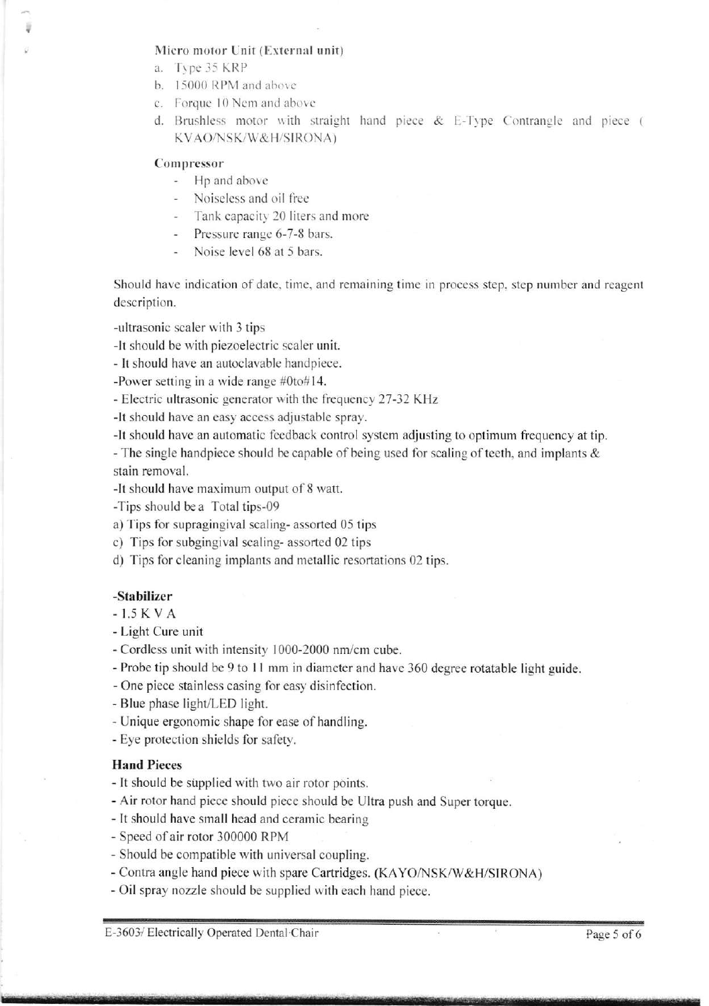### Micro motor Unit (External unit)

- a. Type 35 KRP
- b. 15000 RPM and above
- c. Forque 10 Nem and above
- d. Brushless motor with straight hand piece & E-Type Contrangle and piece ( KVAO/NSK/W&H/SIRONA)

#### Compressor

- Hp and abovc
- Noiseless and oil free
- Tank capacity 20 liters and more
- Pressure range 6-7-8 bars.
- Noise level 68 at 5 bars.

Should have indication of date. time, and remaining time in process step, step number and reagent description.

-ultrasonic scaler with 3 tips

-lt should be with piezoelectric scaler unit.

- It should have an autoclavable handpiece.

-Power setting in a wide range #Oto#14.

- Electric ultrasonic generator with the frequency 27-32 KHz

-lt should have an easy access adjustable spray.

-lt should have an automatic feedback control system adjusting to optimum frequency at tip

- The single handpiece should be capable of being used for scaling of teeth, and implants  $\&$ stain removal.

-lt should have maximum output of 8 watt.

-Tips should bea Total tips-09

a) Tips for supragingival scaling- assorted 05 tips

c) Tips for subgingival scaling- assorted 02 tips

d) Tips for cleaning implants and metallic resortations 02 tips.

## -Stabilizer

-I.5KVA

- Light Cure unit
- Cordless unit with intensity 1000-2000 nm/cm cube.

- Probe tip should be 9 to 11 mm in diameter and have 360 degree rotatable light guide.

- One piece stainless casing for easy disinfection.

- Blue phase light/LED light.

- Unique ergonomic shape for ease of handling.

- Eye protection shields for safety.

# Hand Pieces

- lt should be supplied with two air rotor points.

- Air rotor hand piece should piece should be Ultra push and Super torque.

- It should have small head and ceramic bearing

- Speed of air rotor 300000 RPM
- Should be compatible with universal coupling.

- Contra angle hand piece with spare Cartridges. (KAYO/NSK/W&H/SIRONA)

- Oil spray nozzle should be supplied with each hand piece.

E-3603/ Electrically Operated Dental Chair **Page 5 of 6**